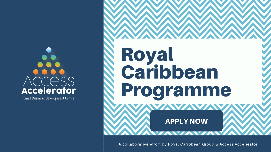# ACCESS Accelerator

Small Business Development Centre

A collaborative effort by Royal Caribbean Group & Access Accelerator

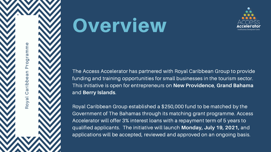$\mathbf{\Omega}$ o $\blacktriangleright$ al C  $\boldsymbol{\sigma}$ rib  $\boldsymbol{\Omega}$  $\bf \Phi$  $\boldsymbol{\sigma}$  $\blacksquare$  $\mathbf{\Omega}$ ro $\bigcirc$  $\overline{\phantom{0}}$  $\boldsymbol{\sigma}$  $\mathbf \Xi$  $\mathbf \Xi$  $\bf \Phi$ 



# Overview

The Access Accelerator has partnered with Royal Caribbean Group to provide funding and training opportunities for small businesses in the tourism sector. This initiative is open for entrepreneurs on **New Providence**, **Grand Bahama** and **Berry Islands**.

Royal Caribbean Group established a \$250,000 fund to be matched by the Government of The Bahamas through its matching grant programme. Access Accelerator will offer 3% interest loans with a repayment term of 5 years to qualified applicants. The initiative will launch **Monday, July 19, 2021,** and applications will be accepted, reviewed and approved on an ongoing basis.

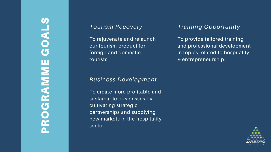# S PROGRAMME GOALS UNOC ROGRAMINE

## *T o u r i s m R e c o v e r y*

To rejuvenate and relaunch our tourism product for foreign and domestic tourist s*m Recovery*<br>
uvenate and relaunch Trand Trand Trand Trand Trand Comestic<br>
and domestic in<br>
s.

To provide tailored training and professional development in topics related to hospitality & entrepreneurship.



## *Business Development*

To create more profitable and sustainable businesses by cultivating strategic partnerships and supplying new markets in the hospitality sector.

## raining Opportunity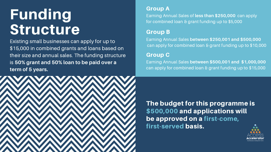# Funding Structure

# Group A

### Earning Annual Sales of **less than \$250,000** can apply for combined loan & grant funding up to \$5,000



## The budget for this programme is \$500,000 and applications will be approved on a first-come, first-served basis.

## Group B

Existing small businesses can apply for up to \$15,000 in combined grants and loans based on their size and annual sales. The funding structure is **50% grant and 50% loan to be paid over a term of 5 years.**



Earning Annual Sales **between \$250,001 and \$500,000** can apply for combined loan & grant funding up to \$10,000

# Group C

Earning Annual Sales **between \$500,001 and \$1,000,000** can apply for combined loan & grant funding up to \$15,000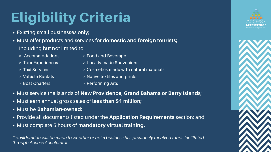# Eligibility Criteria

- Existing small businesses only;
- Must offer products and services for **domestic and foreign tourists;** Including but not limited to:
	- Accommodations
	- o Tour Experiences
	- Taxi Services
	- Vehicle Rentals
	- Boat Charters
- Food and Beverage
- Locally made Souveniers
- $\circ$  Cosmetics made with natural materials
- o Native textiles and prints
- o Performing Arts
- Must service the islands of **New Providence, Grand Bahama or Berry Islands**;
- Must earn annual gross sales of **less than \$1 million;**
- Must be **Bahamian-owned**;
- Provide all documents listed under the **Application Requirements** section; and
- Must complete 5 hours of **mandatory virtual training.**

*Consideration will be made to whether or not a business has previously received funds facilitated through Access Accelerator.*



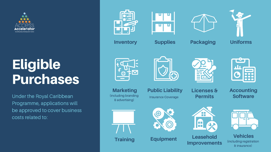Under the Royal Caribbean Programme, applications will be approved to cover business costs related to:











# Eligible Purchases

**Inventory Supplies Packaging Uniforms**







(including branding & advertising) **Marketing**













**Accounting Software**



Insurance Coverage

**Training Equipment Leasehold Improvements**



**Vehicles** (including registration & insurance)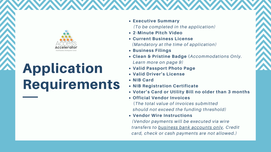- **Executive Summary**
- **2-Minute Pitch Video**
- **Current Business License**
- **Business Filings**
- *Learn more on page 9)*
- **Valid Passport Photo Page**
- **Valid Driver's License**
- **NIB Card**
- **NIB Registration Certificate**
- 
- **Official Vendor Invoices**
- **Vendor Wire Instructions**

**Clean & Pristine Badge (***Accommodations Only. (To be completed in the application) (Mandatory at the time of application)*

**Voter's Card or Utility Bill no older than 3 months** (*The total value of invoices submitted should not exceed the funding threshold) (Vendor payments will be executed via wire transfers to business bank accounts only. Credit card, check or cash payments are not allowed.)*



# Application Requirements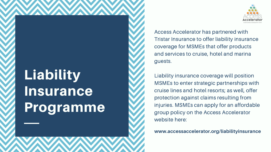Liability insurance coverage will position MSMEs to enter strategic partnerships with cruise lines and hotel resorts; as well, offer protection against claims resulting from injuries. MSMEs can apply for an affordable group policy on the Access Accelerator website here:

Access Accelerator has partnered with Tristar Insurance to offer liability insurance coverage for MSMEs that offer products and services to cruise, hotel and marina guests.

# Liability Insurance Programme

**www.accessaccelerator.org/liabilityinsurance**

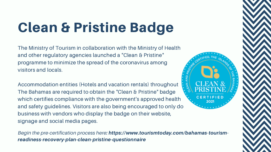# Clean & Pristine Badge

The Ministry of Tourism in collaboration with the Ministry of Health and other regulatory agencies launched a "Clean & Pristine" programme to minimize the spread of the coronavirus among visitors and locals.

Accommodation entities (Hotels and vacation rentals) throughout The Bahamas are required to obtain the "Clean & Pristine" badge which certifies compliance with the government's approved health and safety guidelines. Visitors are also being encouraged to only do business with vendors who display the badge on their website, signage and social media pages.

*Begin the pre-certification process here*: https://www.tourismtoday.com/bahamas-tourismreadiness-recovery-plan-clean-pristine-questionnaire



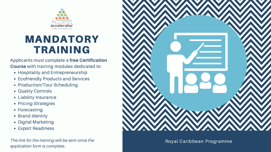

# **FRAINING**<br> *Applicants must complete a free Certification*<br> *Applicants must complete a free Certification*<br>
• Hospitality and Entrepreneurship<br>
• Ecofriendly Products and Services<br>
• Production/Tour Scheduling<br>
• Quality

## Applicants must complete a free Certification **Course** with training modules dedicated to:

- Hospitality and Entrepreneurship
- Ecofriendly Products and Services
- Production/Tour Scheduling
- Quality Controls
- Liability Insurance
- Pricing Strategies
- Forecasting
- Brand Identity
- Digital Marketing
- Export Readiness

*The link for the training will be sent once the*



Roval Caribbean Programme